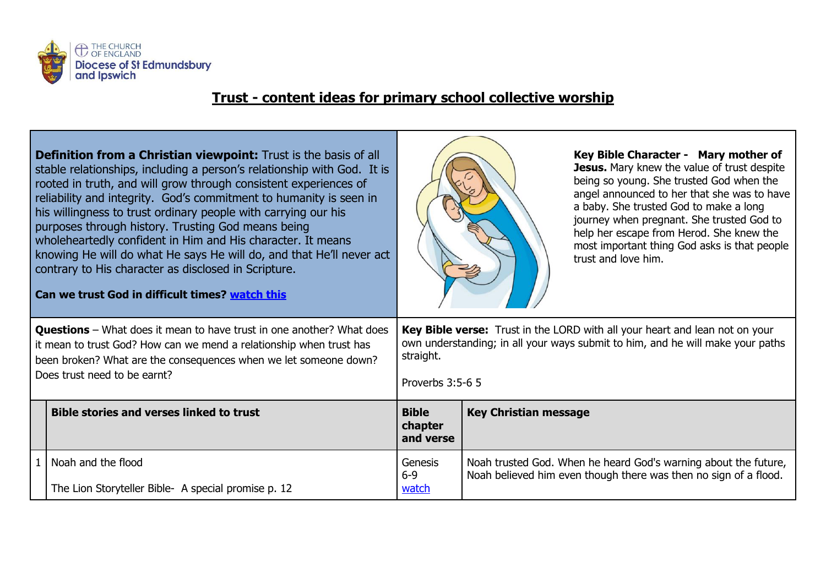

## **Trust - content ideas for primary school collective worship**

| <b>Definition from a Christian viewpoint:</b> Trust is the basis of all<br>stable relationships, including a person's relationship with God. It is<br>rooted in truth, and will grow through consistent experiences of<br>reliability and integrity. God's commitment to humanity is seen in<br>his willingness to trust ordinary people with carrying our his<br>purposes through history. Trusting God means being<br>wholeheartedly confident in Him and His character. It means<br>knowing He will do what He says He will do, and that He'll never act<br>contrary to His character as disclosed in Scripture.<br>Can we trust God in difficult times? watch this |                                                                           | Key Bible Character - Mary mother of<br>Jesus. Mary knew the value of trust despite<br>being so young. She trusted God when the<br>angel announced to her that she was to have<br>a baby. She trusted God to make a long<br>journey when pregnant. She trusted God to<br>help her escape from Herod. She knew the<br>most important thing God asks is that people<br>trust and love him. |                                                                                                                                     |  |
|------------------------------------------------------------------------------------------------------------------------------------------------------------------------------------------------------------------------------------------------------------------------------------------------------------------------------------------------------------------------------------------------------------------------------------------------------------------------------------------------------------------------------------------------------------------------------------------------------------------------------------------------------------------------|---------------------------------------------------------------------------|------------------------------------------------------------------------------------------------------------------------------------------------------------------------------------------------------------------------------------------------------------------------------------------------------------------------------------------------------------------------------------------|-------------------------------------------------------------------------------------------------------------------------------------|--|
| <b>Questions</b> – What does it mean to have trust in one another? What does<br>it mean to trust God? How can we mend a relationship when trust has<br>been broken? What are the consequences when we let someone down?<br>Does trust need to be earnt?                                                                                                                                                                                                                                                                                                                                                                                                                |                                                                           | Key Bible verse: Trust in the LORD with all your heart and lean not on your<br>own understanding; in all your ways submit to him, and he will make your paths<br>straight.<br>Proverbs 3:5-6 5                                                                                                                                                                                           |                                                                                                                                     |  |
|                                                                                                                                                                                                                                                                                                                                                                                                                                                                                                                                                                                                                                                                        | <b>Bible stories and verses linked to trust</b>                           | <b>Bible</b><br>chapter<br>and verse                                                                                                                                                                                                                                                                                                                                                     | <b>Key Christian message</b>                                                                                                        |  |
|                                                                                                                                                                                                                                                                                                                                                                                                                                                                                                                                                                                                                                                                        | Noah and the flood<br>The Lion Storyteller Bible- A special promise p. 12 | Genesis<br>$6 - 9$<br>watch                                                                                                                                                                                                                                                                                                                                                              | Noah trusted God. When he heard God's warning about the future,<br>Noah believed him even though there was then no sign of a flood. |  |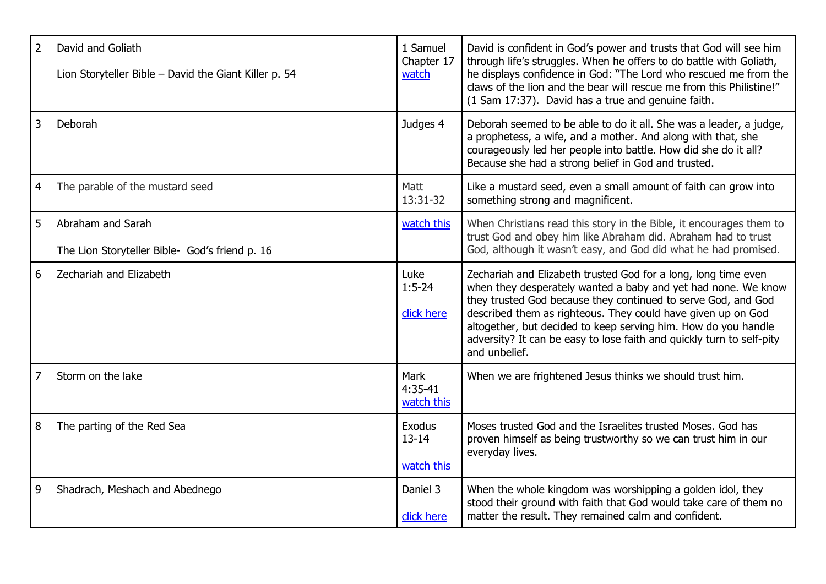| $\overline{2}$ | David and Goliath<br>Lion Storyteller Bible - David the Giant Killer p. 54 | 1 Samuel<br>Chapter 17<br>watch        | David is confident in God's power and trusts that God will see him<br>through life's struggles. When he offers to do battle with Goliath,<br>he displays confidence in God: "The Lord who rescued me from the<br>claws of the lion and the bear will rescue me from this Philistine!"<br>(1 Sam 17:37). David has a true and genuine faith.                                                                                  |
|----------------|----------------------------------------------------------------------------|----------------------------------------|------------------------------------------------------------------------------------------------------------------------------------------------------------------------------------------------------------------------------------------------------------------------------------------------------------------------------------------------------------------------------------------------------------------------------|
| $\overline{3}$ | Deborah                                                                    | Judges 4                               | Deborah seemed to be able to do it all. She was a leader, a judge,<br>a prophetess, a wife, and a mother. And along with that, she<br>courageously led her people into battle. How did she do it all?<br>Because she had a strong belief in God and trusted.                                                                                                                                                                 |
| $\overline{4}$ | The parable of the mustard seed                                            | Matt<br>13:31-32                       | Like a mustard seed, even a small amount of faith can grow into<br>something strong and magnificent.                                                                                                                                                                                                                                                                                                                         |
| 5              | Abraham and Sarah<br>The Lion Storyteller Bible- God's friend p. 16        | watch this                             | When Christians read this story in the Bible, it encourages them to<br>trust God and obey him like Abraham did. Abraham had to trust<br>God, although it wasn't easy, and God did what he had promised.                                                                                                                                                                                                                      |
| 6              | Zechariah and Elizabeth                                                    | Luke<br>$1:5-24$<br>click here         | Zechariah and Elizabeth trusted God for a long, long time even<br>when they desperately wanted a baby and yet had none. We know<br>they trusted God because they continued to serve God, and God<br>described them as righteous. They could have given up on God<br>altogether, but decided to keep serving him. How do you handle<br>adversity? It can be easy to lose faith and quickly turn to self-pity<br>and unbelief. |
| $\overline{7}$ | Storm on the lake                                                          | <b>Mark</b><br>$4:35-41$<br>watch this | When we are frightened Jesus thinks we should trust him.                                                                                                                                                                                                                                                                                                                                                                     |
| 8              | The parting of the Red Sea                                                 | Exodus<br>$13 - 14$<br>watch this      | Moses trusted God and the Israelites trusted Moses. God has<br>proven himself as being trustworthy so we can trust him in our<br>everyday lives.                                                                                                                                                                                                                                                                             |
| 9              | Shadrach, Meshach and Abednego                                             | Daniel 3<br>click here                 | When the whole kingdom was worshipping a golden idol, they<br>stood their ground with faith that God would take care of them no<br>matter the result. They remained calm and confident.                                                                                                                                                                                                                                      |